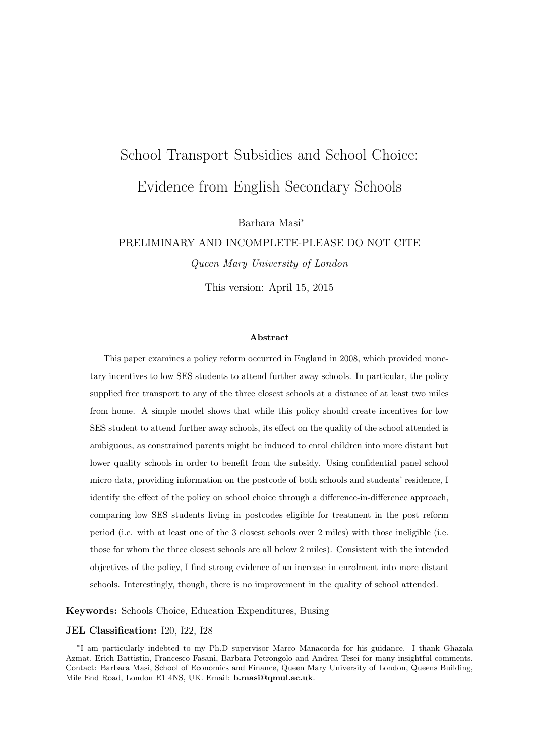# School Transport Subsidies and School Choice: Evidence from English Secondary Schools

Barbara Masi<sup>∗</sup>

PRELIMINARY AND INCOMPLETE-PLEASE DO NOT CITE Queen Mary University of London

This version: April 15, 2015

#### Abstract

This paper examines a policy reform occurred in England in 2008, which provided monetary incentives to low SES students to attend further away schools. In particular, the policy supplied free transport to any of the three closest schools at a distance of at least two miles from home. A simple model shows that while this policy should create incentives for low SES student to attend further away schools, its effect on the quality of the school attended is ambiguous, as constrained parents might be induced to enrol children into more distant but lower quality schools in order to benefit from the subsidy. Using confidential panel school micro data, providing information on the postcode of both schools and students' residence, I identify the effect of the policy on school choice through a difference-in-difference approach, comparing low SES students living in postcodes eligible for treatment in the post reform period (i.e. with at least one of the 3 closest schools over 2 miles) with those ineligible (i.e. those for whom the three closest schools are all below 2 miles). Consistent with the intended objectives of the policy, I find strong evidence of an increase in enrolment into more distant schools. Interestingly, though, there is no improvement in the quality of school attended.

Keywords: Schools Choice, Education Expenditures, Busing

#### JEL Classification: I20, I22, I28

<sup>∗</sup> I am particularly indebted to my Ph.D supervisor Marco Manacorda for his guidance. I thank Ghazala Azmat, Erich Battistin, Francesco Fasani, Barbara Petrongolo and Andrea Tesei for many insightful comments. Contact: Barbara Masi, School of Economics and Finance, Queen Mary University of London, Queens Building, Mile End Road, London E1 4NS, UK. Email: b.masi@qmul.ac.uk.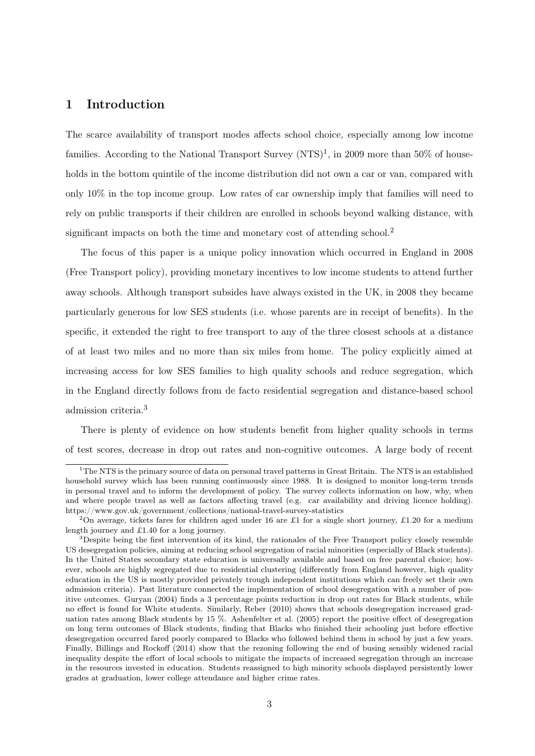## 1 Introduction

The scarce availability of transport modes affects school choice, especially among low income families. According to the National Transport Survey  $(NTS)^1$ , in 2009 more than 50% of households in the bottom quintile of the income distribution did not own a car or van, compared with only  $10\%$  in the top income group. Low rates of car ownership imply that families will need to rely on public transports if their children are enrolled in schools beyond walking distance, with significant impacts on both the time and monetary cost of attending school.<sup>2</sup>

The focus of this paper is a unique policy innovation which occurred in England in 2008 (Free Transport policy), providing monetary incentives to low income students to attend further away schools. Although transport subsides have always existed in the UK, in 2008 they became particularly generous for low SES students (i.e. whose parents are in receipt of benefits). In the specific, it extended the right to free transport to any of the three closest schools at a distance of at least two miles and no more than six miles from home. The policy explicitly aimed at increasing access for low SES families to high quality schools and reduce segregation, which in the England directly follows from de facto residential segregation and distance-based school admission criteria.<sup>3</sup>

There is plenty of evidence on how students benefit from higher quality schools in terms of test scores, decrease in drop out rates and non-cognitive outcomes. A large body of recent

<sup>&</sup>lt;sup>1</sup>The NTS is the primary source of data on personal travel patterns in Great Britain. The NTS is an established household survey which has been running continuously since 1988. It is designed to monitor long-term trends in personal travel and to inform the development of policy. The survey collects information on how, why, when and where people travel as well as factors affecting travel (e.g. car availability and driving licence holding). https://www.gov.uk/government/collections/national-travel-survey-statistics

<sup>&</sup>lt;sup>2</sup>On average, tickets fares for children aged under 16 are £1 for a single short journey, £1.20 for a medium length journey and £1.40 for a long journey.

 $3$ Despite being the first intervention of its kind, the rationales of the Free Transport policy closely resemble US desegregation policies, aiming at reducing school segregation of racial minorities (especially of Black students). In the United States secondary state education is universally available and based on free parental choice; however, schools are highly segregated due to residential clustering (differently from England however, high quality education in the US is mostly provided privately trough independent institutions which can freely set their own admission criteria). Past literature connected the implementation of school desegregation with a number of positive outcomes. Guryan (2004) finds a 3 percentage points reduction in drop out rates for Black students, while no effect is found for White students. Similarly, Reber (2010) shows that schools desegregation increased graduation rates among Black students by 15 %. Ashenfelter et al. (2005) report the positive effect of desegregation on long term outcomes of Black students, finding that Blacks who finished their schooling just before effective desegregation occurred fared poorly compared to Blacks who followed behind them in school by just a few years. Finally, Billings and Rockoff (2014) show that the rezoning following the end of busing sensibly widened racial inequality despite the effort of local schools to mitigate the impacts of increased segregation through an increase in the resources invested in education. Students reassigned to high minority schools displayed persistently lower grades at graduation, lower college attendance and higher crime rates.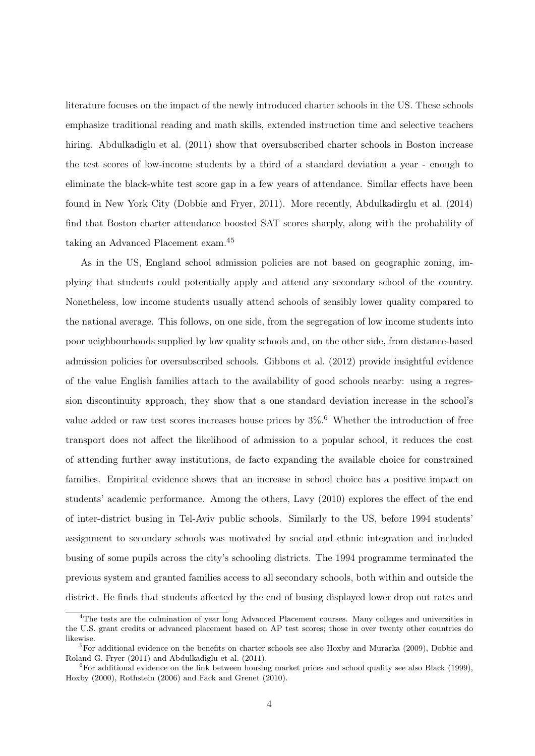literature focuses on the impact of the newly introduced charter schools in the US. These schools emphasize traditional reading and math skills, extended instruction time and selective teachers hiring. Abdulkadiglu et al. (2011) show that oversubscribed charter schools in Boston increase the test scores of low-income students by a third of a standard deviation a year - enough to eliminate the black-white test score gap in a few years of attendance. Similar effects have been found in New York City (Dobbie and Fryer, 2011). More recently, Abdulkadirglu et al. (2014) find that Boston charter attendance boosted SAT scores sharply, along with the probability of taking an Advanced Placement exam.<sup>45</sup>

As in the US, England school admission policies are not based on geographic zoning, implying that students could potentially apply and attend any secondary school of the country. Nonetheless, low income students usually attend schools of sensibly lower quality compared to the national average. This follows, on one side, from the segregation of low income students into poor neighbourhoods supplied by low quality schools and, on the other side, from distance-based admission policies for oversubscribed schools. Gibbons et al. (2012) provide insightful evidence of the value English families attach to the availability of good schools nearby: using a regression discontinuity approach, they show that a one standard deviation increase in the school's value added or raw test scores increases house prices by  $3\%$ .<sup>6</sup> Whether the introduction of free transport does not affect the likelihood of admission to a popular school, it reduces the cost of attending further away institutions, de facto expanding the available choice for constrained families. Empirical evidence shows that an increase in school choice has a positive impact on students' academic performance. Among the others, Lavy (2010) explores the effect of the end of inter-district busing in Tel-Aviv public schools. Similarly to the US, before 1994 students' assignment to secondary schools was motivated by social and ethnic integration and included busing of some pupils across the city's schooling districts. The 1994 programme terminated the previous system and granted families access to all secondary schools, both within and outside the district. He finds that students affected by the end of busing displayed lower drop out rates and

<sup>&</sup>lt;sup>4</sup>The tests are the culmination of year long Advanced Placement courses. Many colleges and universities in the U.S. grant credits or advanced placement based on AP test scores; those in over twenty other countries do likewise.

<sup>5</sup>For additional evidence on the benefits on charter schools see also Hoxby and Murarka (2009), Dobbie and Roland G. Fryer (2011) and Abdulkadiglu et al. (2011).

 ${}^{6}$ For additional evidence on the link between housing market prices and school quality see also Black (1999), Hoxby (2000), Rothstein (2006) and Fack and Grenet (2010).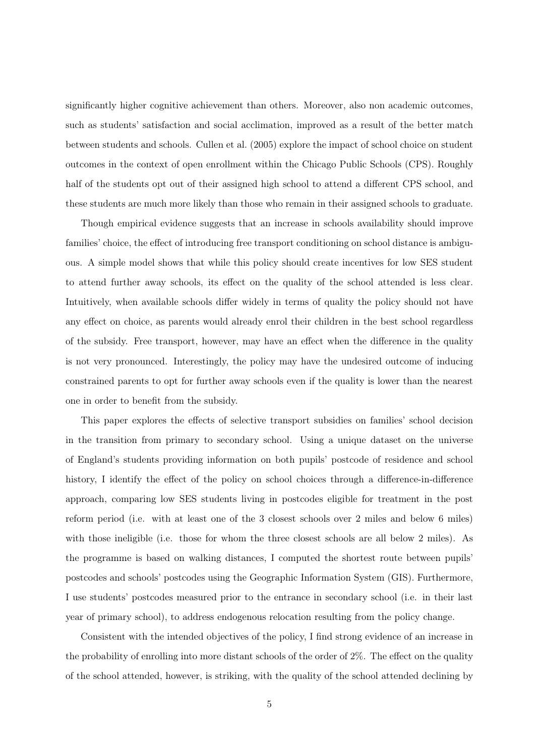significantly higher cognitive achievement than others. Moreover, also non academic outcomes, such as students' satisfaction and social acclimation, improved as a result of the better match between students and schools. Cullen et al. (2005) explore the impact of school choice on student outcomes in the context of open enrollment within the Chicago Public Schools (CPS). Roughly half of the students opt out of their assigned high school to attend a different CPS school, and these students are much more likely than those who remain in their assigned schools to graduate.

Though empirical evidence suggests that an increase in schools availability should improve families' choice, the effect of introducing free transport conditioning on school distance is ambiguous. A simple model shows that while this policy should create incentives for low SES student to attend further away schools, its effect on the quality of the school attended is less clear. Intuitively, when available schools differ widely in terms of quality the policy should not have any effect on choice, as parents would already enrol their children in the best school regardless of the subsidy. Free transport, however, may have an effect when the difference in the quality is not very pronounced. Interestingly, the policy may have the undesired outcome of inducing constrained parents to opt for further away schools even if the quality is lower than the nearest one in order to benefit from the subsidy.

This paper explores the effects of selective transport subsidies on families' school decision in the transition from primary to secondary school. Using a unique dataset on the universe of England's students providing information on both pupils' postcode of residence and school history, I identify the effect of the policy on school choices through a difference-in-difference approach, comparing low SES students living in postcodes eligible for treatment in the post reform period (i.e. with at least one of the 3 closest schools over 2 miles and below 6 miles) with those ineligible (i.e. those for whom the three closest schools are all below 2 miles). As the programme is based on walking distances, I computed the shortest route between pupils' postcodes and schools' postcodes using the Geographic Information System (GIS). Furthermore, I use students' postcodes measured prior to the entrance in secondary school (i.e. in their last year of primary school), to address endogenous relocation resulting from the policy change.

Consistent with the intended objectives of the policy, I find strong evidence of an increase in the probability of enrolling into more distant schools of the order of 2%. The effect on the quality of the school attended, however, is striking, with the quality of the school attended declining by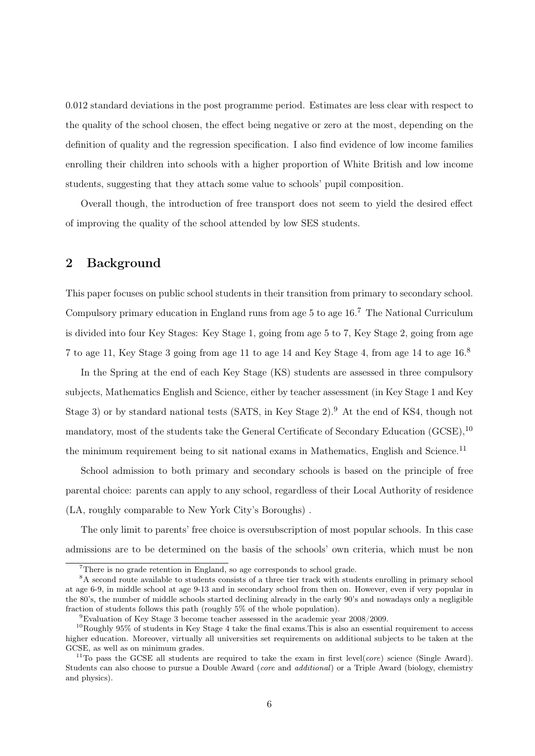0.012 standard deviations in the post programme period. Estimates are less clear with respect to the quality of the school chosen, the effect being negative or zero at the most, depending on the definition of quality and the regression specification. I also find evidence of low income families enrolling their children into schools with a higher proportion of White British and low income students, suggesting that they attach some value to schools' pupil composition.

Overall though, the introduction of free transport does not seem to yield the desired effect of improving the quality of the school attended by low SES students.

## 2 Background

This paper focuses on public school students in their transition from primary to secondary school. Compulsory primary education in England runs from age 5 to age 16.<sup>7</sup> The National Curriculum is divided into four Key Stages: Key Stage 1, going from age 5 to 7, Key Stage 2, going from age 7 to age 11, Key Stage 3 going from age 11 to age 14 and Key Stage 4, from age 14 to age 16.<sup>8</sup>

In the Spring at the end of each Key Stage (KS) students are assessed in three compulsory subjects, Mathematics English and Science, either by teacher assessment (in Key Stage 1 and Key Stage 3) or by standard national tests (SATS, in Key Stage  $2$ ).<sup>9</sup> At the end of KS4, though not mandatory, most of the students take the General Certificate of Secondary Education (GCSE), <sup>10</sup> the minimum requirement being to sit national exams in Mathematics, English and Science.<sup>11</sup>

School admission to both primary and secondary schools is based on the principle of free parental choice: parents can apply to any school, regardless of their Local Authority of residence (LA, roughly comparable to New York City's Boroughs) .

The only limit to parents' free choice is oversubscription of most popular schools. In this case admissions are to be determined on the basis of the schools' own criteria, which must be non

<sup>7</sup>There is no grade retention in England, so age corresponds to school grade.

<sup>8</sup>A second route available to students consists of a three tier track with students enrolling in primary school at age 6-9, in middle school at age 9-13 and in secondary school from then on. However, even if very popular in the 80's, the number of middle schools started declining already in the early 90's and nowadays only a negligible fraction of students follows this path (roughly 5% of the whole population).

<sup>9</sup>Evaluation of Key Stage 3 become teacher assessed in the academic year 2008/2009.

 $^{10}$ Roughly 95% of students in Key Stage 4 take the final exams. This is also an essential requirement to access higher education. Moreover, virtually all universities set requirements on additional subjects to be taken at the GCSE, as well as on minimum grades.

<sup>&</sup>lt;sup>11</sup>To pass the GCSE all students are required to take the exam in first level(*core*) science (Single Award). Students can also choose to pursue a Double Award (*core* and *additional*) or a Triple Award (biology, chemistry and physics).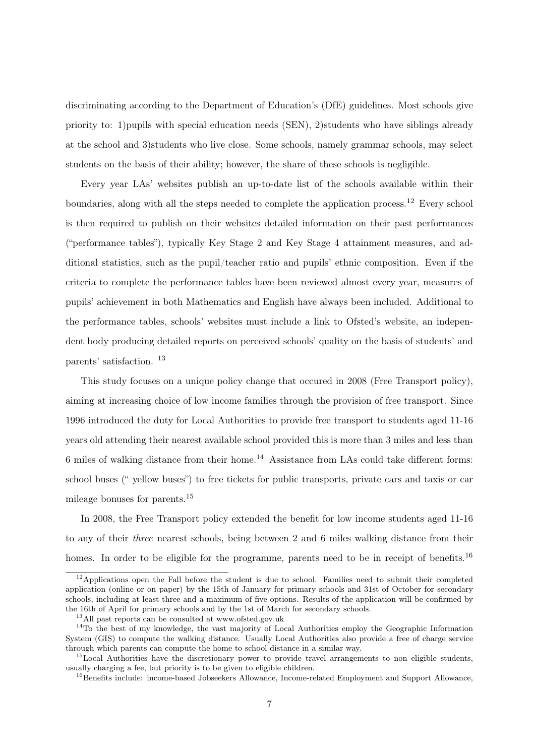discriminating according to the Department of Education's (DfE) guidelines. Most schools give priority to: 1) pupils with special education needs  $(SEN)$ , 2) students who have siblings already at the school and 3)students who live close. Some schools, namely grammar schools, may select students on the basis of their ability; however, the share of these schools is negligible.

Every year LAs' websites publish an up-to-date list of the schools available within their boundaries, along with all the steps needed to complete the application process.<sup>12</sup> Every school is then required to publish on their websites detailed information on their past performances ("performance tables"), typically Key Stage 2 and Key Stage 4 attainment measures, and additional statistics, such as the pupil/teacher ratio and pupils' ethnic composition. Even if the criteria to complete the performance tables have been reviewed almost every year, measures of pupils' achievement in both Mathematics and English have always been included. Additional to the performance tables, schools' websites must include a link to Ofsted's website, an independent body producing detailed reports on perceived schools' quality on the basis of students' and parents' satisfaction. <sup>13</sup>

This study focuses on a unique policy change that occured in 2008 (Free Transport policy), aiming at increasing choice of low income families through the provision of free transport. Since 1996 introduced the duty for Local Authorities to provide free transport to students aged 11-16 years old attending their nearest available school provided this is more than 3 miles and less than 6 miles of walking distance from their home.<sup>14</sup> Assistance from LAs could take different forms: school buses (" yellow buses") to free tickets for public transports, private cars and taxis or car mileage bonuses for parents.<sup>15</sup>

In 2008, the Free Transport policy extended the benefit for low income students aged 11-16 to any of their three nearest schools, being between 2 and 6 miles walking distance from their homes. In order to be eligible for the programme, parents need to be in receipt of benefits.<sup>16</sup>

<sup>&</sup>lt;sup>12</sup>Applications open the Fall before the student is due to school. Families need to submit their completed application (online or on paper) by the 15th of January for primary schools and 31st of October for secondary schools, including at least three and a maximum of five options. Results of the application will be confirmed by the 16th of April for primary schools and by the 1st of March for secondary schools.

 $^{13}\mathrm{All}$  past reports can be consulted at www.ofsted.gov.uk

 $14$ To the best of my knowledge, the vast majority of Local Authorities employ the Geographic Information System (GIS) to compute the walking distance. Usually Local Authorities also provide a free of charge service through which parents can compute the home to school distance in a similar way.

 $15$ Local Authorities have the discretionary power to provide travel arrangements to non eligible students, usually charging a fee, but priority is to be given to eligible children.

<sup>&</sup>lt;sup>16</sup>Benefits include: income-based Jobseekers Allowance, Income-related Employment and Support Allowance,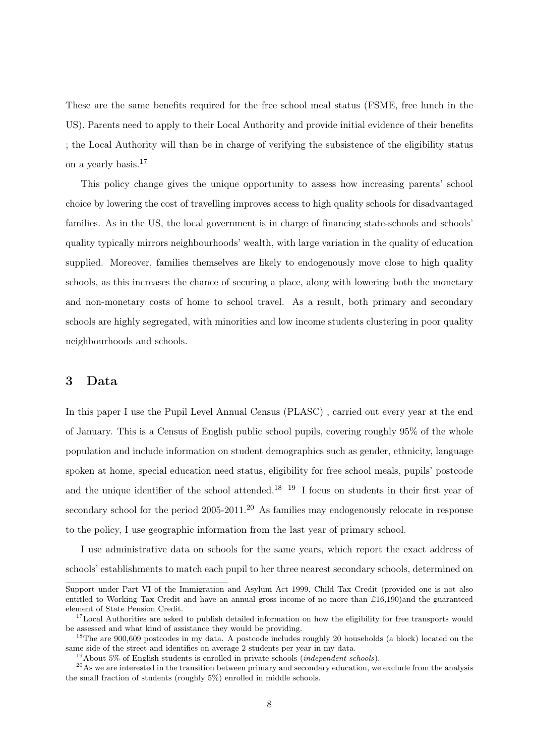These are the same benefits required for the free school meal status (FSME, free lunch in the US). Parents need to apply to their Local Authority and provide initial evidence of their benefits ; the Local Authority will than be in charge of verifying the subsistence of the eligibility status on a yearly basis.<sup>17</sup>

This policy change gives the unique opportunity to assess how increasing parents' school choice by lowering the cost of travelling improves access to high quality schools for disadvantaged families. As in the US, the local government is in charge of financing state-schools and schools' quality typically mirrors neighbourhoods' wealth, with large variation in the quality of education supplied. Moreover, families themselves are likely to endogenously move close to high quality schools, as this increases the chance of securing a place, along with lowering both the monetary and non-monetary costs of home to school travel. As a result, both primary and secondary schools are highly segregated, with minorities and low income students clustering in poor quality neighbourhoods and schools.

### 3 Data

In this paper I use the Pupil Level Annual Census (PLASC) , carried out every year at the end of January. This is a Census of English public school pupils, covering roughly 95% of the whole population and include information on student demographics such as gender, ethnicity, language spoken at home, special education need status, eligibility for free school meals, pupils' postcode and the unique identifier of the school attended.<sup>18 19</sup> I focus on students in their first year of secondary school for the period  $2005-2011$ .<sup>20</sup> As families may endogenously relocate in response to the policy, I use geographic information from the last year of primary school.

I use administrative data on schools for the same years, which report the exact address of schools' establishments to match each pupil to her three nearest secondary schools, determined on

Support under Part VI of the Immigration and Asylum Act 1999, Child Tax Credit (provided one is not also entitled to Working Tax Credit and have an annual gross income of no more than £16,190)and the guaranteed element of State Pension Credit.

<sup>&</sup>lt;sup>17</sup>Local Authorities are asked to publish detailed information on how the eligibility for free transports would be assessed and what kind of assistance they would be providing.

<sup>&</sup>lt;sup>18</sup>The are 900,609 postcodes in my data. A postcode includes roughly 20 households (a block) located on the same side of the street and identifies on average 2 students per year in my data.

<sup>&</sup>lt;sup>19</sup>About 5% of English students is enrolled in private schools (*independent schools*).

<sup>&</sup>lt;sup>20</sup>As we are interested in the transition between primary and secondary education, we exclude from the analysis the small fraction of students (roughly 5%) enrolled in middle schools.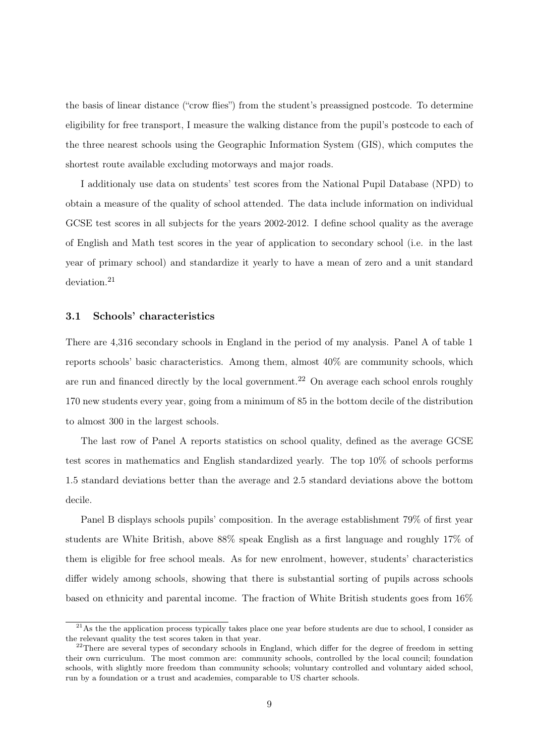the basis of linear distance ("crow flies") from the student's preassigned postcode. To determine eligibility for free transport, I measure the walking distance from the pupil's postcode to each of the three nearest schools using the Geographic Information System (GIS), which computes the shortest route available excluding motorways and major roads.

I additionaly use data on students' test scores from the National Pupil Database (NPD) to obtain a measure of the quality of school attended. The data include information on individual GCSE test scores in all subjects for the years 2002-2012. I define school quality as the average of English and Math test scores in the year of application to secondary school (i.e. in the last year of primary school) and standardize it yearly to have a mean of zero and a unit standard deviation.<sup>21</sup>

#### 3.1 Schools' characteristics

There are 4,316 secondary schools in England in the period of my analysis. Panel A of table 1 reports schools' basic characteristics. Among them, almost 40% are community schools, which are run and financed directly by the local government.<sup>22</sup> On average each school enrols roughly 170 new students every year, going from a minimum of 85 in the bottom decile of the distribution to almost 300 in the largest schools.

The last row of Panel A reports statistics on school quality, defined as the average GCSE test scores in mathematics and English standardized yearly. The top 10% of schools performs 1.5 standard deviations better than the average and 2.5 standard deviations above the bottom decile.

Panel B displays schools pupils' composition. In the average establishment 79% of first year students are White British, above 88% speak English as a first language and roughly 17% of them is eligible for free school meals. As for new enrolment, however, students' characteristics differ widely among schools, showing that there is substantial sorting of pupils across schools based on ethnicity and parental income. The fraction of White British students goes from 16%

 $^{21}$ As the the application process typically takes place one year before students are due to school, I consider as the relevant quality the test scores taken in that year.

<sup>&</sup>lt;sup>22</sup>There are several types of secondary schools in England, which differ for the degree of freedom in setting their own curriculum. The most common are: community schools, controlled by the local council; foundation schools, with slightly more freedom than community schools; voluntary controlled and voluntary aided school, run by a foundation or a trust and academies, comparable to US charter schools.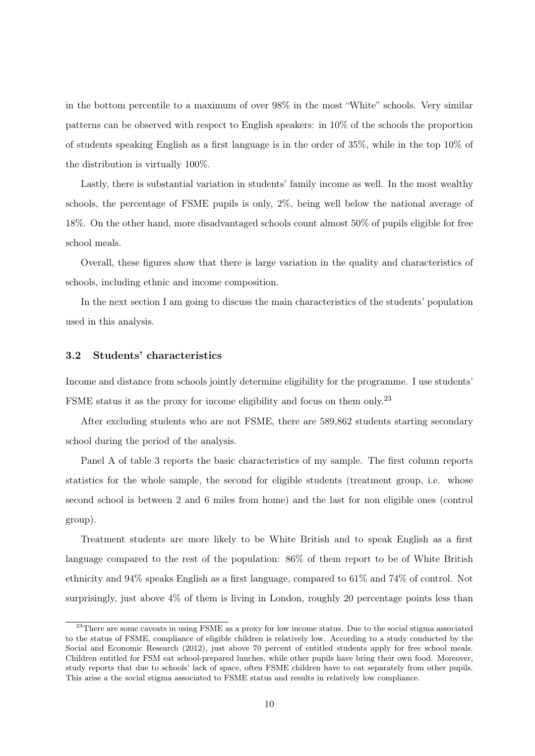in the bottom percentile to a maximum of over 98% in the most "White" schools. Very similar patterns can be observed with respect to English speakers: in 10% of the schools the proportion of students speaking English as a first language is in the order of  $35\%$ , while in the top  $10\%$  of the distribution is virtually 100%.

Lastly, there is substantial variation in students' family income as well. In the most wealthy schools, the percentage of FSME pupils is only, 2%, being well below the national average of 18%. On the other hand, more disadvantaged schools count almost 50% of pupils eligible for free school meals.

Overall, these figures show that there is large variation in the quality and characteristics of schools, including ethnic and income composition.

In the next section I am going to discuss the main characteristics of the students' population used in this analysis.

#### 3.2 Students' characteristics

Income and distance from schools jointly determine eligibility for the programme. I use students' FSME status it as the proxy for income eligibility and focus on them only.<sup>23</sup>

After excluding students who are not FSME, there are 589,862 students starting secondary school during the period of the analysis.

Panel A of table 3 reports the basic characteristics of my sample. The first column reports statistics for the whole sample, the second for eligible students (treatment group, i.e. whose second school is between 2 and 6 miles from home) and the last for non eligible ones (control group).

Treatment students are more likely to be White British and to speak English as a first language compared to the rest of the population: 86% of them report to be of White British ethnicity and 94% speaks English as a first language, compared to 61% and 74% of control. Not surprisingly, just above  $4\%$  of them is living in London, roughly 20 percentage points less than

<sup>&</sup>lt;sup>23</sup>There are some caveats in using FSME as a proxy for low income status. Due to the social stigma associated to the status of FSME, compliance of eligible children is relatively low. According to a study conducted by the Social and Economic Research (2012), just above 70 percent of entitled students apply for free school meals. Children entitled for FSM eat school-prepared lunches, while other pupils have bring their own food. Moreover, study reports that due to schools' lack of space, often FSME children have to eat separately from other pupils. This arise a the social stigma associated to FSME status and results in relatively low compliance.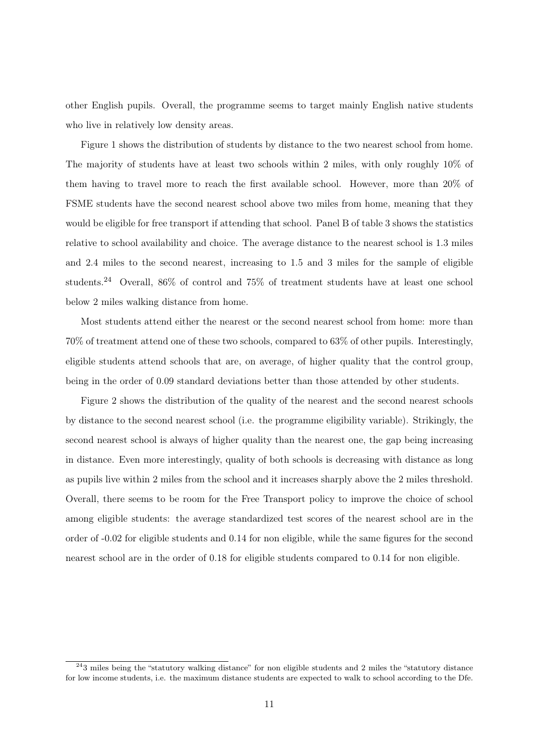other English pupils. Overall, the programme seems to target mainly English native students who live in relatively low density areas.

Figure 1 shows the distribution of students by distance to the two nearest school from home. The majority of students have at least two schools within 2 miles, with only roughly 10% of them having to travel more to reach the first available school. However, more than 20% of FSME students have the second nearest school above two miles from home, meaning that they would be eligible for free transport if attending that school. Panel B of table 3 shows the statistics relative to school availability and choice. The average distance to the nearest school is 1.3 miles and 2.4 miles to the second nearest, increasing to 1.5 and 3 miles for the sample of eligible students.<sup>24</sup> Overall, 86% of control and 75% of treatment students have at least one school below 2 miles walking distance from home.

Most students attend either the nearest or the second nearest school from home: more than 70% of treatment attend one of these two schools, compared to 63% of other pupils. Interestingly, eligible students attend schools that are, on average, of higher quality that the control group, being in the order of 0.09 standard deviations better than those attended by other students.

Figure 2 shows the distribution of the quality of the nearest and the second nearest schools by distance to the second nearest school (i.e. the programme eligibility variable). Strikingly, the second nearest school is always of higher quality than the nearest one, the gap being increasing in distance. Even more interestingly, quality of both schools is decreasing with distance as long as pupils live within 2 miles from the school and it increases sharply above the 2 miles threshold. Overall, there seems to be room for the Free Transport policy to improve the choice of school among eligible students: the average standardized test scores of the nearest school are in the order of -0.02 for eligible students and 0.14 for non eligible, while the same figures for the second nearest school are in the order of 0.18 for eligible students compared to 0.14 for non eligible.

 $^{24}$ 3 miles being the "statutory walking distance" for non eligible students and 2 miles the "statutory distance" for low income students, i.e. the maximum distance students are expected to walk to school according to the Dfe.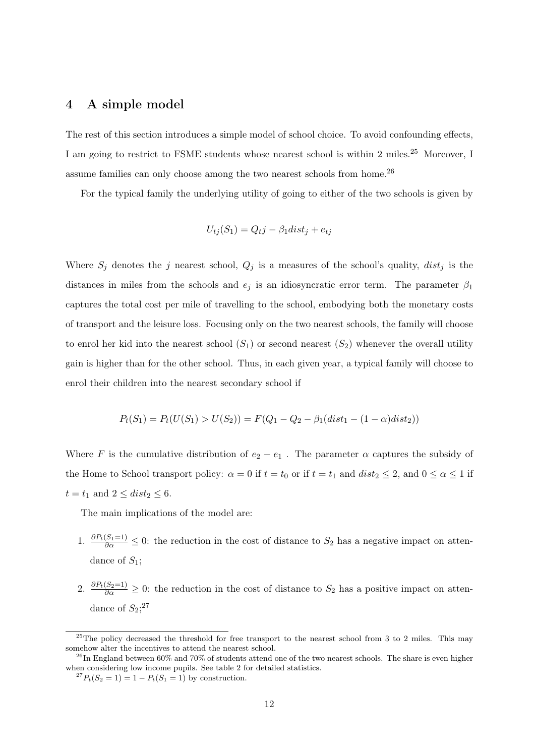## 4 A simple model

The rest of this section introduces a simple model of school choice. To avoid confounding effects, I am going to restrict to FSME students whose nearest school is within 2 miles.<sup>25</sup> Moreover, I assume families can only choose among the two nearest schools from home.<sup>26</sup>

For the typical family the underlying utility of going to either of the two schools is given by

$$
U_{tj}(S_1) = Q_t j - \beta_1 dist_j + e_{tj}
$$

Where  $S_j$  denotes the j nearest school,  $Q_j$  is a measures of the school's quality,  $dist_j$  is the distances in miles from the schools and  $e_j$  is an idiosyncratic error term. The parameter  $\beta_1$ captures the total cost per mile of travelling to the school, embodying both the monetary costs of transport and the leisure loss. Focusing only on the two nearest schools, the family will choose to enrol her kid into the nearest school  $(S_1)$  or second nearest  $(S_2)$  whenever the overall utility gain is higher than for the other school. Thus, in each given year, a typical family will choose to enrol their children into the nearest secondary school if

$$
P_t(S_1) = P_t(U(S_1) > U(S_2)) = F(Q_1 - Q_2 - \beta_1 (dist_1 - (1 - \alpha) dist_2))
$$

Where F is the cumulative distribution of  $e_2 - e_1$ . The parameter  $\alpha$  captures the subsidy of the Home to School transport policy:  $\alpha = 0$  if  $t = t_0$  or if  $t = t_1$  and  $dist_2 \leq 2$ , and  $0 \leq \alpha \leq 1$  if  $t = t_1$  and  $2 \leq dist_2 \leq 6$ .

The main implications of the model are:

- 1.  $\frac{\partial P_t(S_1=1)}{\partial \alpha} \leq 0$ : the reduction in the cost of distance to  $S_2$  has a negative impact on attendance of  $S_1$ ;
- 2.  $\frac{\partial P_t(S_2=1)}{\partial \alpha} \geq 0$ : the reduction in the cost of distance to  $S_2$  has a positive impact on attendance of  $S_2$ ;<sup>27</sup>

<sup>&</sup>lt;sup>25</sup>The policy decreased the threshold for free transport to the nearest school from 3 to 2 miles. This may somehow alter the incentives to attend the nearest school.

<sup>&</sup>lt;sup>26</sup>In England between  $60\%$  and  $70\%$  of students attend one of the two nearest schools. The share is even higher when considering low income pupils. See table 2 for detailed statistics.

 ${}^{27}P_t(S_2 = 1) = 1 - P_t(S_1 = 1)$  by construction.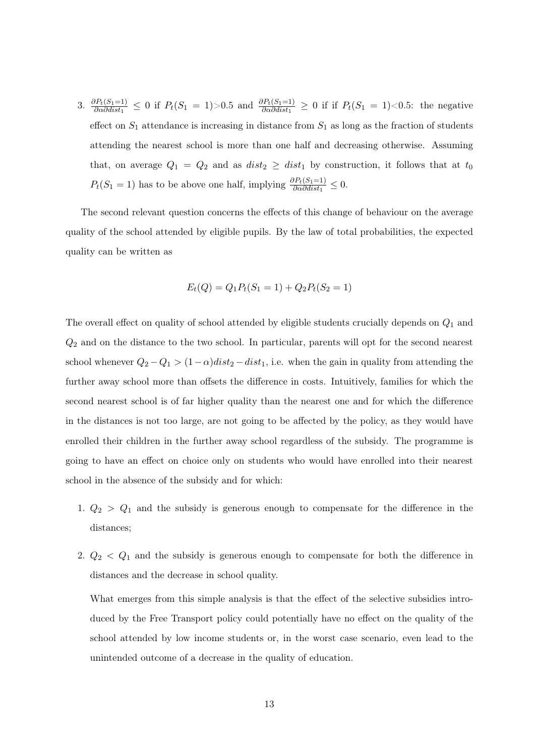3.  $\frac{\partial P_t(S_1=1)}{\partial \alpha \partial dist_1} \leq 0$  if  $P_t(S_1=1) > 0.5$  and  $\frac{\partial P_t(S_1=1)}{\partial \alpha \partial dist_1} \geq 0$  if if  $P_t(S_1=1) < 0.5$ : the negative effect on  $S_1$  attendance is increasing in distance from  $S_1$  as long as the fraction of students attending the nearest school is more than one half and decreasing otherwise. Assuming that, on average  $Q_1 = Q_2$  and as  $dist_2 \geq dist_1$  by construction, it follows that at  $t_0$  $P_t(S_1 = 1)$  has to be above one half, implying  $\frac{\partial P_t(S_1 = 1)}{\partial \alpha \partial dist_1} \leq 0$ .

The second relevant question concerns the effects of this change of behaviour on the average quality of the school attended by eligible pupils. By the law of total probabilities, the expected quality can be written as

$$
E_t(Q) = Q_1 P_t(S_1 = 1) + Q_2 P_t(S_2 = 1)
$$

The overall effect on quality of school attended by eligible students crucially depends on  $Q_1$  and  $Q_2$  and on the distance to the two school. In particular, parents will opt for the second nearest school whenever  $Q_2 - Q_1 > (1 - \alpha)dist_2 - dist_1$ , i.e. when the gain in quality from attending the further away school more than offsets the difference in costs. Intuitively, families for which the second nearest school is of far higher quality than the nearest one and for which the difference in the distances is not too large, are not going to be affected by the policy, as they would have enrolled their children in the further away school regardless of the subsidy. The programme is going to have an effect on choice only on students who would have enrolled into their nearest school in the absence of the subsidy and for which:

- 1.  $Q_2 > Q_1$  and the subsidy is generous enough to compensate for the difference in the distances;
- 2.  $Q_2$  <  $Q_1$  and the subsidy is generous enough to compensate for both the difference in distances and the decrease in school quality.

What emerges from this simple analysis is that the effect of the selective subsidies introduced by the Free Transport policy could potentially have no effect on the quality of the school attended by low income students or, in the worst case scenario, even lead to the unintended outcome of a decrease in the quality of education.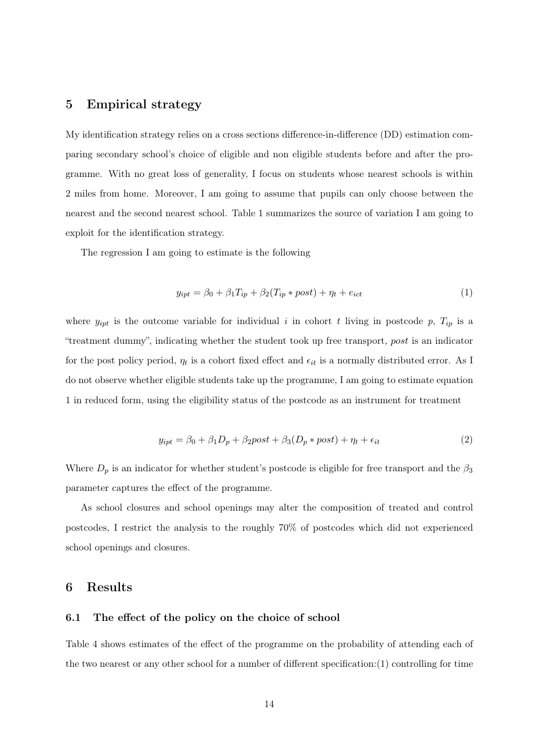## 5 Empirical strategy

My identification strategy relies on a cross sections difference-in-difference (DD) estimation comparing secondary school's choice of eligible and non eligible students before and after the programme. With no great loss of generality, I focus on students whose nearest schools is within 2 miles from home. Moreover, I am going to assume that pupils can only choose between the nearest and the second nearest school. Table 1 summarizes the source of variation I am going to exploit for the identification strategy.

The regression I am going to estimate is the following

$$
y_{ipt} = \beta_0 + \beta_1 T_{ip} + \beta_2 (T_{ip} * post) + \eta_t + e_{ict}
$$
\n
$$
\tag{1}
$$

where  $y_{ipt}$  is the outcome variable for individual i in cohort t living in postcode p,  $T_{ip}$  is a "treatment dummy", indicating whether the student took up free transport, post is an indicator for the post policy period,  $\eta_t$  is a cohort fixed effect and  $\epsilon_{it}$  is a normally distributed error. As I do not observe whether eligible students take up the programme, I am going to estimate equation 1 in reduced form, using the eligibility status of the postcode as an instrument for treatment

$$
y_{ipt} = \beta_0 + \beta_1 D_p + \beta_2 post + \beta_3 (D_p * post) + \eta_t + \epsilon_{it}
$$
\n(2)

Where  $D_p$  is an indicator for whether student's postcode is eligible for free transport and the  $\beta_3$ parameter captures the effect of the programme.

As school closures and school openings may alter the composition of treated and control postcodes, I restrict the analysis to the roughly 70% of postcodes which did not experienced school openings and closures.

## 6 Results

#### 6.1 The effect of the policy on the choice of school

Table 4 shows estimates of the effect of the programme on the probability of attending each of the two nearest or any other school for a number of different specification:(1) controlling for time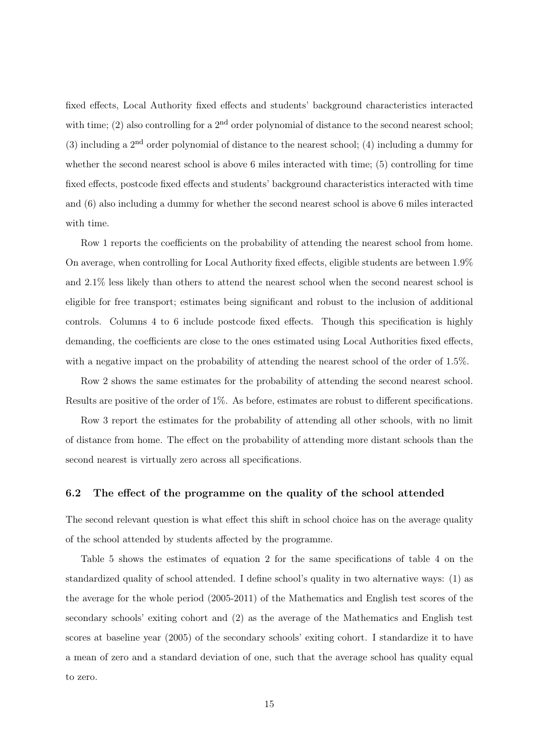fixed effects, Local Authority fixed effects and students' background characteristics interacted with time; (2) also controlling for a  $2<sup>nd</sup>$  order polynomial of distance to the second nearest school; (3) including a  $2<sup>nd</sup>$  order polynomial of distance to the nearest school; (4) including a dummy for whether the second nearest school is above 6 miles interacted with time; (5) controlling for time fixed effects, postcode fixed effects and students' background characteristics interacted with time and (6) also including a dummy for whether the second nearest school is above 6 miles interacted with time.

Row 1 reports the coefficients on the probability of attending the nearest school from home. On average, when controlling for Local Authority fixed effects, eligible students are between 1.9% and 2.1% less likely than others to attend the nearest school when the second nearest school is eligible for free transport; estimates being significant and robust to the inclusion of additional controls. Columns 4 to 6 include postcode fixed effects. Though this specification is highly demanding, the coefficients are close to the ones estimated using Local Authorities fixed effects, with a negative impact on the probability of attending the nearest school of the order of 1.5%.

Row 2 shows the same estimates for the probability of attending the second nearest school. Results are positive of the order of 1%. As before, estimates are robust to different specifications.

Row 3 report the estimates for the probability of attending all other schools, with no limit of distance from home. The effect on the probability of attending more distant schools than the second nearest is virtually zero across all specifications.

#### 6.2 The effect of the programme on the quality of the school attended

The second relevant question is what effect this shift in school choice has on the average quality of the school attended by students affected by the programme.

Table 5 shows the estimates of equation 2 for the same specifications of table 4 on the standardized quality of school attended. I define school's quality in two alternative ways: (1) as the average for the whole period (2005-2011) of the Mathematics and English test scores of the secondary schools' exiting cohort and (2) as the average of the Mathematics and English test scores at baseline year (2005) of the secondary schools' exiting cohort. I standardize it to have a mean of zero and a standard deviation of one, such that the average school has quality equal to zero.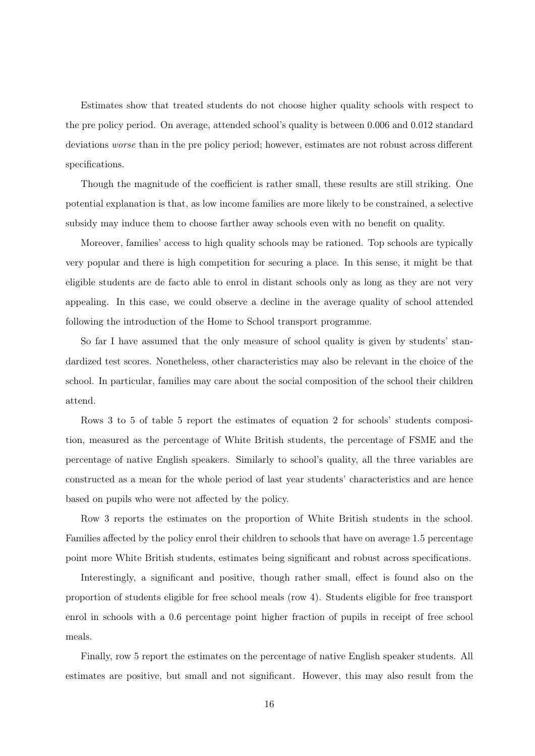Estimates show that treated students do not choose higher quality schools with respect to the pre policy period. On average, attended school's quality is between 0.006 and 0.012 standard deviations worse than in the pre policy period; however, estimates are not robust across different specifications.

Though the magnitude of the coefficient is rather small, these results are still striking. One potential explanation is that, as low income families are more likely to be constrained, a selective subsidy may induce them to choose farther away schools even with no benefit on quality.

Moreover, families' access to high quality schools may be rationed. Top schools are typically very popular and there is high competition for securing a place. In this sense, it might be that eligible students are de facto able to enrol in distant schools only as long as they are not very appealing. In this case, we could observe a decline in the average quality of school attended following the introduction of the Home to School transport programme.

So far I have assumed that the only measure of school quality is given by students' standardized test scores. Nonetheless, other characteristics may also be relevant in the choice of the school. In particular, families may care about the social composition of the school their children attend.

Rows 3 to 5 of table 5 report the estimates of equation 2 for schools' students composition, measured as the percentage of White British students, the percentage of FSME and the percentage of native English speakers. Similarly to school's quality, all the three variables are constructed as a mean for the whole period of last year students' characteristics and are hence based on pupils who were not affected by the policy.

Row 3 reports the estimates on the proportion of White British students in the school. Families affected by the policy enrol their children to schools that have on average 1.5 percentage point more White British students, estimates being significant and robust across specifications.

Interestingly, a significant and positive, though rather small, effect is found also on the proportion of students eligible for free school meals (row 4). Students eligible for free transport enrol in schools with a 0.6 percentage point higher fraction of pupils in receipt of free school meals.

Finally, row 5 report the estimates on the percentage of native English speaker students. All estimates are positive, but small and not significant. However, this may also result from the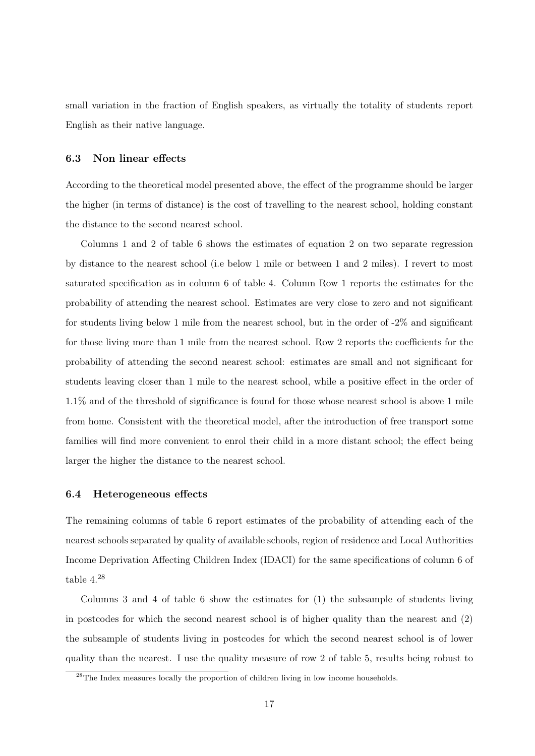small variation in the fraction of English speakers, as virtually the totality of students report English as their native language.

#### 6.3 Non linear effects

According to the theoretical model presented above, the effect of the programme should be larger the higher (in terms of distance) is the cost of travelling to the nearest school, holding constant the distance to the second nearest school.

Columns 1 and 2 of table 6 shows the estimates of equation 2 on two separate regression by distance to the nearest school (i.e below 1 mile or between 1 and 2 miles). I revert to most saturated specification as in column 6 of table 4. Column Row 1 reports the estimates for the probability of attending the nearest school. Estimates are very close to zero and not significant for students living below 1 mile from the nearest school, but in the order of -2% and significant for those living more than 1 mile from the nearest school. Row 2 reports the coefficients for the probability of attending the second nearest school: estimates are small and not significant for students leaving closer than 1 mile to the nearest school, while a positive effect in the order of 1.1% and of the threshold of significance is found for those whose nearest school is above 1 mile from home. Consistent with the theoretical model, after the introduction of free transport some families will find more convenient to enrol their child in a more distant school; the effect being larger the higher the distance to the nearest school.

#### 6.4 Heterogeneous effects

The remaining columns of table 6 report estimates of the probability of attending each of the nearest schools separated by quality of available schools, region of residence and Local Authorities Income Deprivation Affecting Children Index (IDACI) for the same specifications of column 6 of table 4.<sup>28</sup>

Columns 3 and 4 of table 6 show the estimates for (1) the subsample of students living in postcodes for which the second nearest school is of higher quality than the nearest and (2) the subsample of students living in postcodes for which the second nearest school is of lower quality than the nearest. I use the quality measure of row 2 of table 5, results being robust to

<sup>&</sup>lt;sup>28</sup>The Index measures locally the proportion of children living in low income households.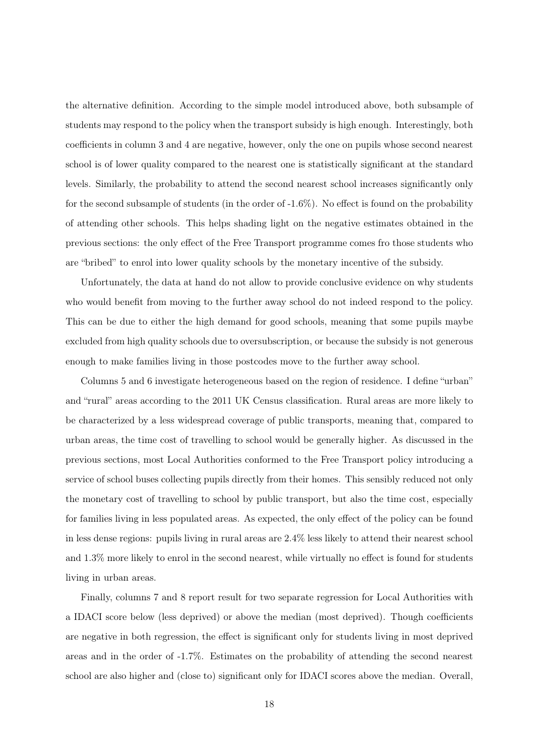the alternative definition. According to the simple model introduced above, both subsample of students may respond to the policy when the transport subsidy is high enough. Interestingly, both coefficients in column 3 and 4 are negative, however, only the one on pupils whose second nearest school is of lower quality compared to the nearest one is statistically significant at the standard levels. Similarly, the probability to attend the second nearest school increases significantly only for the second subsample of students (in the order of -1.6%). No effect is found on the probability of attending other schools. This helps shading light on the negative estimates obtained in the previous sections: the only effect of the Free Transport programme comes fro those students who are "bribed" to enrol into lower quality schools by the monetary incentive of the subsidy.

Unfortunately, the data at hand do not allow to provide conclusive evidence on why students who would benefit from moving to the further away school do not indeed respond to the policy. This can be due to either the high demand for good schools, meaning that some pupils maybe excluded from high quality schools due to oversubscription, or because the subsidy is not generous enough to make families living in those postcodes move to the further away school.

Columns 5 and 6 investigate heterogeneous based on the region of residence. I define "urban" and "rural" areas according to the 2011 UK Census classification. Rural areas are more likely to be characterized by a less widespread coverage of public transports, meaning that, compared to urban areas, the time cost of travelling to school would be generally higher. As discussed in the previous sections, most Local Authorities conformed to the Free Transport policy introducing a service of school buses collecting pupils directly from their homes. This sensibly reduced not only the monetary cost of travelling to school by public transport, but also the time cost, especially for families living in less populated areas. As expected, the only effect of the policy can be found in less dense regions: pupils living in rural areas are 2.4% less likely to attend their nearest school and 1.3% more likely to enrol in the second nearest, while virtually no effect is found for students living in urban areas.

Finally, columns 7 and 8 report result for two separate regression for Local Authorities with a IDACI score below (less deprived) or above the median (most deprived). Though coefficients are negative in both regression, the effect is significant only for students living in most deprived areas and in the order of -1.7%. Estimates on the probability of attending the second nearest school are also higher and (close to) significant only for IDACI scores above the median. Overall,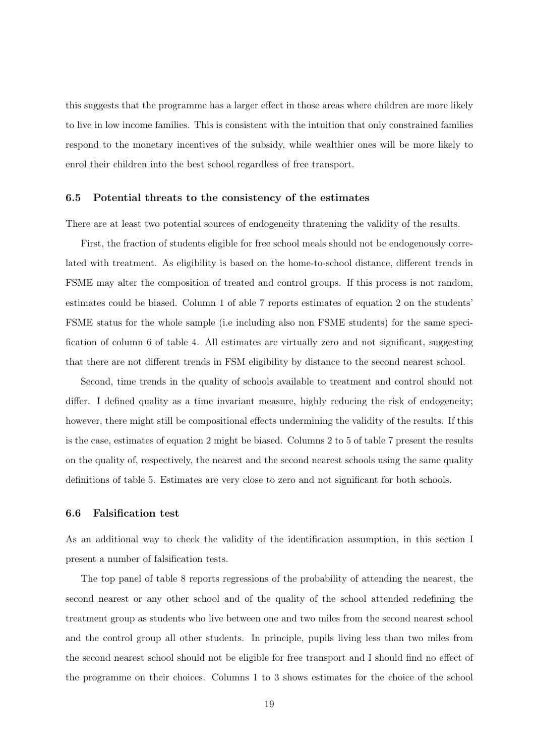this suggests that the programme has a larger effect in those areas where children are more likely to live in low income families. This is consistent with the intuition that only constrained families respond to the monetary incentives of the subsidy, while wealthier ones will be more likely to enrol their children into the best school regardless of free transport.

#### 6.5 Potential threats to the consistency of the estimates

There are at least two potential sources of endogeneity thratening the validity of the results.

First, the fraction of students eligible for free school meals should not be endogenously correlated with treatment. As eligibility is based on the home-to-school distance, different trends in FSME may alter the composition of treated and control groups. If this process is not random, estimates could be biased. Column 1 of able 7 reports estimates of equation 2 on the students' FSME status for the whole sample (i.e including also non FSME students) for the same specification of column 6 of table 4. All estimates are virtually zero and not significant, suggesting that there are not different trends in FSM eligibility by distance to the second nearest school.

Second, time trends in the quality of schools available to treatment and control should not differ. I defined quality as a time invariant measure, highly reducing the risk of endogeneity; however, there might still be compositional effects undermining the validity of the results. If this is the case, estimates of equation 2 might be biased. Columns 2 to 5 of table 7 present the results on the quality of, respectively, the nearest and the second nearest schools using the same quality definitions of table 5. Estimates are very close to zero and not significant for both schools.

#### 6.6 Falsification test

As an additional way to check the validity of the identification assumption, in this section I present a number of falsification tests.

The top panel of table 8 reports regressions of the probability of attending the nearest, the second nearest or any other school and of the quality of the school attended redefining the treatment group as students who live between one and two miles from the second nearest school and the control group all other students. In principle, pupils living less than two miles from the second nearest school should not be eligible for free transport and I should find no effect of the programme on their choices. Columns 1 to 3 shows estimates for the choice of the school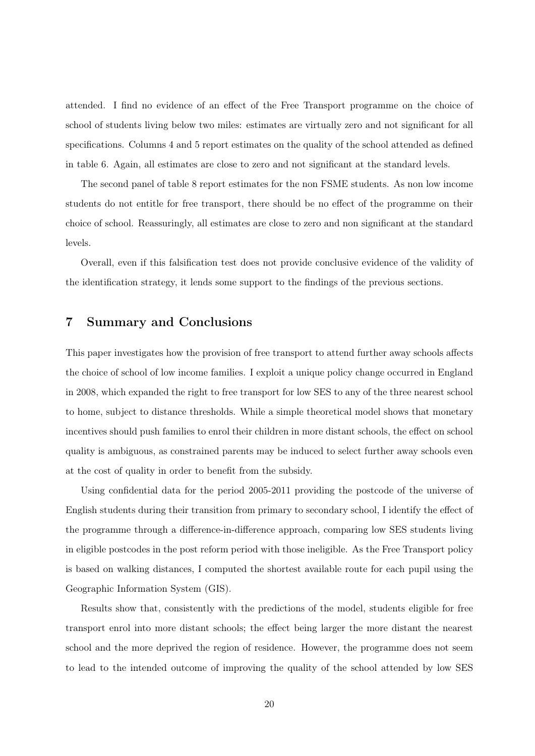attended. I find no evidence of an effect of the Free Transport programme on the choice of school of students living below two miles: estimates are virtually zero and not significant for all specifications. Columns 4 and 5 report estimates on the quality of the school attended as defined in table 6. Again, all estimates are close to zero and not significant at the standard levels.

The second panel of table 8 report estimates for the non FSME students. As non low income students do not entitle for free transport, there should be no effect of the programme on their choice of school. Reassuringly, all estimates are close to zero and non significant at the standard levels.

Overall, even if this falsification test does not provide conclusive evidence of the validity of the identification strategy, it lends some support to the findings of the previous sections.

## 7 Summary and Conclusions

This paper investigates how the provision of free transport to attend further away schools affects the choice of school of low income families. I exploit a unique policy change occurred in England in 2008, which expanded the right to free transport for low SES to any of the three nearest school to home, subject to distance thresholds. While a simple theoretical model shows that monetary incentives should push families to enrol their children in more distant schools, the effect on school quality is ambiguous, as constrained parents may be induced to select further away schools even at the cost of quality in order to benefit from the subsidy.

Using confidential data for the period 2005-2011 providing the postcode of the universe of English students during their transition from primary to secondary school, I identify the effect of the programme through a difference-in-difference approach, comparing low SES students living in eligible postcodes in the post reform period with those ineligible. As the Free Transport policy is based on walking distances, I computed the shortest available route for each pupil using the Geographic Information System (GIS).

Results show that, consistently with the predictions of the model, students eligible for free transport enrol into more distant schools; the effect being larger the more distant the nearest school and the more deprived the region of residence. However, the programme does not seem to lead to the intended outcome of improving the quality of the school attended by low SES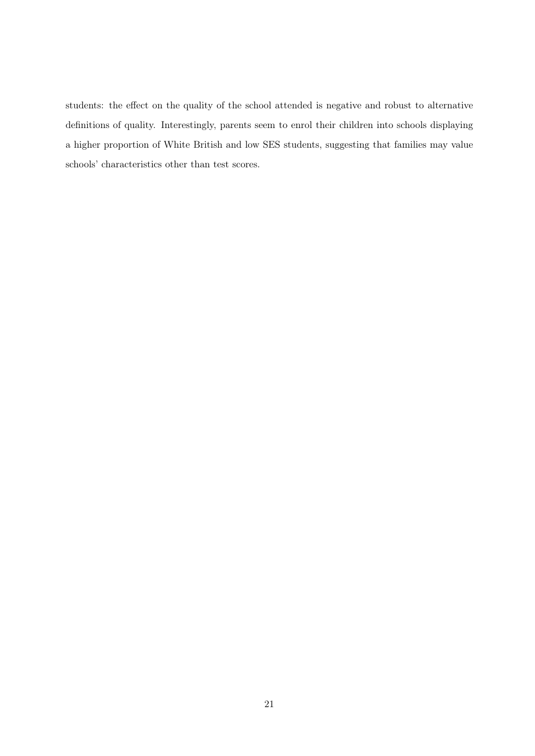students: the effect on the quality of the school attended is negative and robust to alternative definitions of quality. Interestingly, parents seem to enrol their children into schools displaying a higher proportion of White British and low SES students, suggesting that families may value schools' characteristics other than test scores.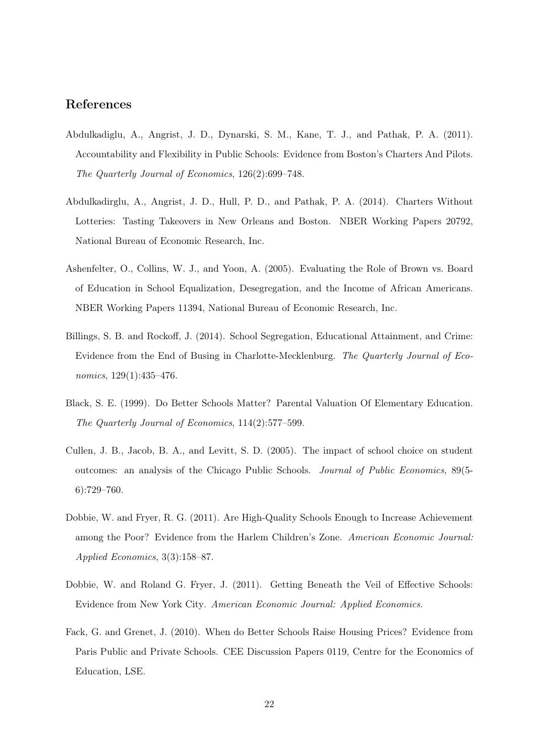## References

- Abdulkadiglu, A., Angrist, J. D., Dynarski, S. M., Kane, T. J., and Pathak, P. A. (2011). Accountability and Flexibility in Public Schools: Evidence from Boston's Charters And Pilots. The Quarterly Journal of Economics, 126(2):699–748.
- Abdulkadirglu, A., Angrist, J. D., Hull, P. D., and Pathak, P. A. (2014). Charters Without Lotteries: Tasting Takeovers in New Orleans and Boston. NBER Working Papers 20792, National Bureau of Economic Research, Inc.
- Ashenfelter, O., Collins, W. J., and Yoon, A. (2005). Evaluating the Role of Brown vs. Board of Education in School Equalization, Desegregation, and the Income of African Americans. NBER Working Papers 11394, National Bureau of Economic Research, Inc.
- Billings, S. B. and Rockoff, J. (2014). School Segregation, Educational Attainment, and Crime: Evidence from the End of Busing in Charlotte-Mecklenburg. The Quarterly Journal of Economics, 129(1):435–476.
- Black, S. E. (1999). Do Better Schools Matter? Parental Valuation Of Elementary Education. The Quarterly Journal of Economics, 114(2):577–599.
- Cullen, J. B., Jacob, B. A., and Levitt, S. D. (2005). The impact of school choice on student outcomes: an analysis of the Chicago Public Schools. Journal of Public Economics, 89(5- 6):729–760.
- Dobbie, W. and Fryer, R. G. (2011). Are High-Quality Schools Enough to Increase Achievement among the Poor? Evidence from the Harlem Children's Zone. American Economic Journal: Applied Economics, 3(3):158–87.
- Dobbie, W. and Roland G. Fryer, J. (2011). Getting Beneath the Veil of Effective Schools: Evidence from New York City. American Economic Journal: Applied Economics.
- Fack, G. and Grenet, J. (2010). When do Better Schools Raise Housing Prices? Evidence from Paris Public and Private Schools. CEE Discussion Papers 0119, Centre for the Economics of Education, LSE.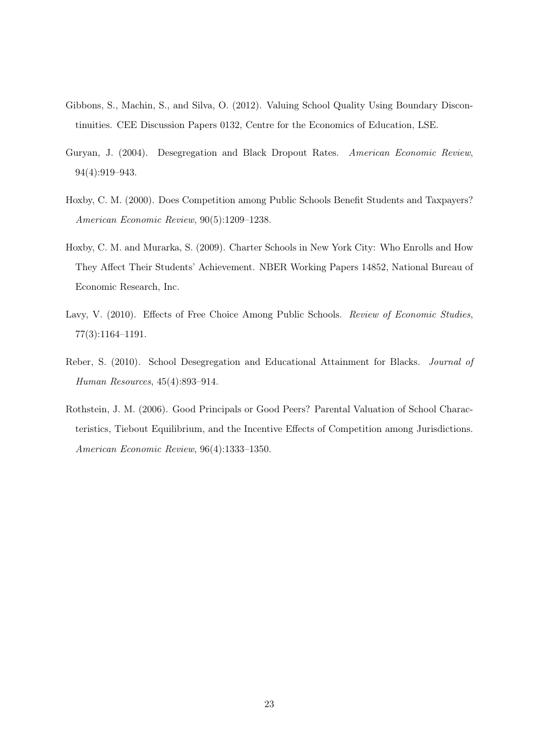- Gibbons, S., Machin, S., and Silva, O. (2012). Valuing School Quality Using Boundary Discontinuities. CEE Discussion Papers 0132, Centre for the Economics of Education, LSE.
- Guryan, J. (2004). Desegregation and Black Dropout Rates. American Economic Review, 94(4):919–943.
- Hoxby, C. M. (2000). Does Competition among Public Schools Benefit Students and Taxpayers? American Economic Review, 90(5):1209–1238.
- Hoxby, C. M. and Murarka, S. (2009). Charter Schools in New York City: Who Enrolls and How They Affect Their Students' Achievement. NBER Working Papers 14852, National Bureau of Economic Research, Inc.
- Lavy, V. (2010). Effects of Free Choice Among Public Schools. Review of Economic Studies, 77(3):1164–1191.
- Reber, S. (2010). School Desegregation and Educational Attainment for Blacks. Journal of Human Resources, 45(4):893–914.
- Rothstein, J. M. (2006). Good Principals or Good Peers? Parental Valuation of School Characteristics, Tiebout Equilibrium, and the Incentive Effects of Competition among Jurisdictions. American Economic Review, 96(4):1333–1350.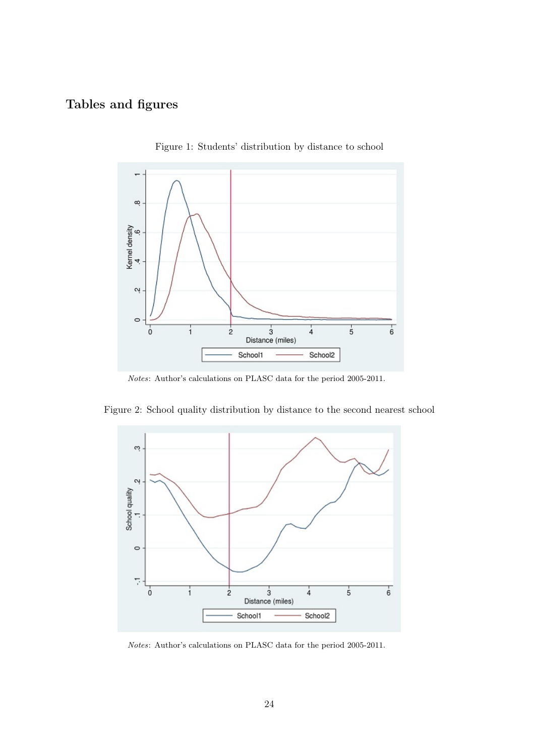## Tables and figures



Figure 1: Students' distribution by distance to school

Notes: Author's calculations on PLASC data for the period 2005-2011.





Notes: Author's calculations on PLASC data for the period 2005-2011.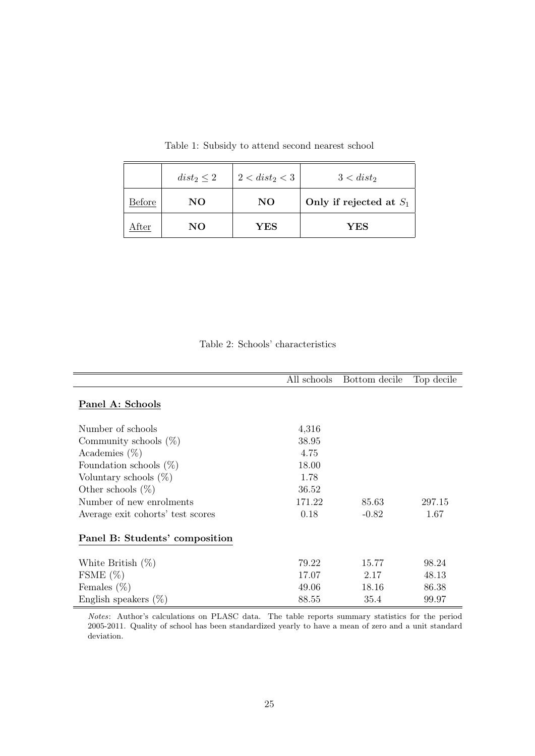|        | $dist_2 \leq 2$ | $2 < dist_2 < 3$ | $3 < dist_2$              |
|--------|-----------------|------------------|---------------------------|
| Before | NO              | NO               | Only if rejected at $S_1$ |
| After  | NO              | YES              | YES                       |

Table 1: Subsidy to attend second nearest school

## Table 2: Schools' characteristics

|                                   | All schools | Bottom decile | Top decile |
|-----------------------------------|-------------|---------------|------------|
| Panel A: Schools                  |             |               |            |
| Number of schools                 | 4,316       |               |            |
| Community schools $(\%)$          | 38.95       |               |            |
| Academies $(\%)$                  | 4.75        |               |            |
| Foundation schools $(\%)$         | 18.00       |               |            |
| Voluntary schools $(\%)$          | 1.78        |               |            |
| Other schools $(\%)$              | 36.52       |               |            |
| Number of new enrolments          | 171.22      | 85.63         | 297.15     |
| Average exit cohorts' test scores | 0.18        | $-0.82$       | 1.67       |
| Panel B: Students' composition    |             |               |            |
| White British $(\%)$              | 79.22       | 15.77         | 98.24      |
| FSME $(\%)$                       | 17.07       | 2.17          | 48.13      |
| Females $(\%)$                    | 49.06       | 18.16         | 86.38      |
| English speakers $(\%)$           | 88.55       | 35.4          | 99.97      |

Notes: Author's calculations on PLASC data. The table reports summary statistics for the period 2005-2011. Quality of school has been standardized yearly to have a mean of zero and a unit standard deviation.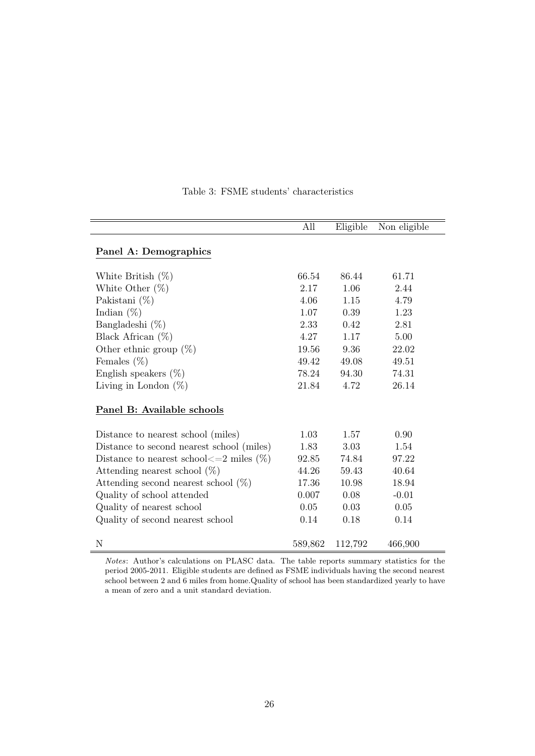|                                                    | All     | Eligible | Non eligible |
|----------------------------------------------------|---------|----------|--------------|
| Panel A: Demographics                              |         |          |              |
| White British $(\%)$                               | 66.54   | 86.44    | 61.71        |
| White Other $(\%)$                                 | 2.17    | 1.06     | 2.44         |
| Pakistani $(\%)$                                   | 4.06    | 1.15     | 4.79         |
| Indian $(\%)$                                      | 1.07    | 0.39     | 1.23         |
| Bangladeshi $(\%)$                                 | 2.33    | 0.42     | 2.81         |
| Black African $(\%)$                               | 4.27    | 1.17     | 5.00         |
| Other ethnic group $(\%)$                          | 19.56   | 9.36     | 22.02        |
| Females $(\%)$                                     | 49.42   | 49.08    | 49.51        |
| English speakers $(\%)$                            | 78.24   | 94.30    | 74.31        |
| Living in London $(\%)$                            | 21.84   | 4.72     | 26.14        |
| Panel B: Available schools                         |         |          |              |
| Distance to nearest school (miles)                 | 1.03    | 1.57     | 0.90         |
| Distance to second nearest school (miles)          | 1.83    | 3.03     | 1.54         |
| Distance to nearest school $\leq$ = 2 miles $(\%)$ | 92.85   | 74.84    | 97.22        |
| Attending nearest school $(\%)$                    | 44.26   | 59.43    | 40.64        |
| Attending second nearest school $(\%)$             | 17.36   | 10.98    | 18.94        |
| Quality of school attended                         | 0.007   | 0.08     | $-0.01$      |
| Quality of nearest school                          | 0.05    | 0.03     | 0.05         |
| Quality of second nearest school                   | 0.14    | 0.18     | 0.14         |
| N                                                  | 589,862 | 112,792  | 466,900      |

#### Table 3: FSME students' characteristics

Notes: Author's calculations on PLASC data. The table reports summary statistics for the period 2005-2011. Eligible students are defined as FSME individuals having the second nearest school between 2 and 6 miles from home.Quality of school has been standardized yearly to have a mean of zero and a unit standard deviation.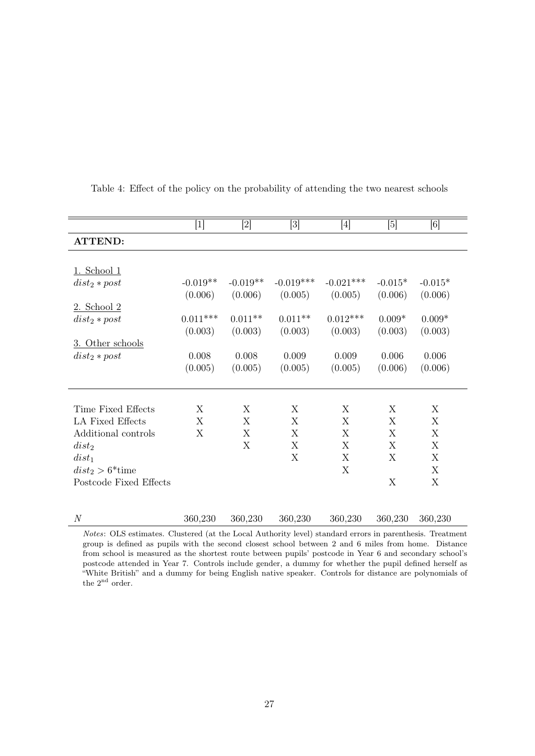|                                | $[1] % \includegraphics[width=0.9\columnwidth]{figures/fig_1a} \caption{The graph $\mathbf{M}_1$ is a function of the parameter $\mathbf{M}_1$ and the parameter $\mathbf{M}_2$ is a function of the parameter $\mathbf{M}_1$ and the parameter $\mathbf{M}_2$ is a function of the parameter $\mathbf{M}_1$ and the parameter $\mathbf{M}_2$ is a function of the parameter $\mathbf{M}_1$ and the parameter $\mathbf{M}_2$ is a function of the parameter $\mathbf{M}_1$ and the parameter $\mathbf{M}_2$ is a function of the parameter $\mathbf{M}_1$ and the parameter $\mathbf{M}_2$ is a function of the parameter $\mathbf{M}_1$.} \label{fig:fig:time}$ |            | $[3] % \includegraphics[width=1\textwidth]{images/Traj_4.pdf} \caption{Schematic diagram of the top of the top of the top of the top of the right. The left is the number of the top of the right.} \label{fig:Traj_4}$ | $[4] % \includegraphics[width=0.9\columnwidth]{figures/fig_4} \caption{A graph shows a function of the parameter $\{1,2,3,\cdots,4\}$, and the number of parameters $\{1,3,4,\cdots,4\}$, and the number of parameters $\{1,3,4,\cdots,4\}$, respectively.} \label{fig:2}$ | [5]       | [6]       |
|--------------------------------|------------------------------------------------------------------------------------------------------------------------------------------------------------------------------------------------------------------------------------------------------------------------------------------------------------------------------------------------------------------------------------------------------------------------------------------------------------------------------------------------------------------------------------------------------------------------------------------------------------------------------------------------------------------|------------|-------------------------------------------------------------------------------------------------------------------------------------------------------------------------------------------------------------------------|----------------------------------------------------------------------------------------------------------------------------------------------------------------------------------------------------------------------------------------------------------------------------|-----------|-----------|
| <b>ATTEND:</b>                 |                                                                                                                                                                                                                                                                                                                                                                                                                                                                                                                                                                                                                                                                  |            |                                                                                                                                                                                                                         |                                                                                                                                                                                                                                                                            |           |           |
|                                |                                                                                                                                                                                                                                                                                                                                                                                                                                                                                                                                                                                                                                                                  |            |                                                                                                                                                                                                                         |                                                                                                                                                                                                                                                                            |           |           |
| $1.$ School $1$                |                                                                                                                                                                                                                                                                                                                                                                                                                                                                                                                                                                                                                                                                  |            |                                                                                                                                                                                                                         |                                                                                                                                                                                                                                                                            |           |           |
| $dist_2 * post$                | $-0.019**$                                                                                                                                                                                                                                                                                                                                                                                                                                                                                                                                                                                                                                                       | $-0.019**$ | $-0.019***$                                                                                                                                                                                                             | $-0.021***$                                                                                                                                                                                                                                                                | $-0.015*$ | $-0.015*$ |
|                                | (0.006)                                                                                                                                                                                                                                                                                                                                                                                                                                                                                                                                                                                                                                                          | (0.006)    | (0.005)                                                                                                                                                                                                                 | (0.005)                                                                                                                                                                                                                                                                    | (0.006)   | (0.006)   |
| 2. School 2                    |                                                                                                                                                                                                                                                                                                                                                                                                                                                                                                                                                                                                                                                                  |            |                                                                                                                                                                                                                         |                                                                                                                                                                                                                                                                            |           |           |
| $dist_2 * post$                | $0.011***$                                                                                                                                                                                                                                                                                                                                                                                                                                                                                                                                                                                                                                                       | $0.011**$  | $0.011**$                                                                                                                                                                                                               | $0.012***$                                                                                                                                                                                                                                                                 | $0.009*$  | $0.009*$  |
|                                | (0.003)                                                                                                                                                                                                                                                                                                                                                                                                                                                                                                                                                                                                                                                          | (0.003)    | (0.003)                                                                                                                                                                                                                 | (0.003)                                                                                                                                                                                                                                                                    | (0.003)   | (0.003)   |
| 3. Other schools               |                                                                                                                                                                                                                                                                                                                                                                                                                                                                                                                                                                                                                                                                  |            |                                                                                                                                                                                                                         |                                                                                                                                                                                                                                                                            |           |           |
| $dist_2 * post$                | 0.008                                                                                                                                                                                                                                                                                                                                                                                                                                                                                                                                                                                                                                                            | 0.008      | 0.009                                                                                                                                                                                                                   | 0.009                                                                                                                                                                                                                                                                      | 0.006     | 0.006     |
|                                | (0.005)                                                                                                                                                                                                                                                                                                                                                                                                                                                                                                                                                                                                                                                          | (0.005)    | (0.005)                                                                                                                                                                                                                 | (0.005)                                                                                                                                                                                                                                                                    | (0.006)   | (0.006)   |
|                                |                                                                                                                                                                                                                                                                                                                                                                                                                                                                                                                                                                                                                                                                  |            |                                                                                                                                                                                                                         |                                                                                                                                                                                                                                                                            |           |           |
|                                |                                                                                                                                                                                                                                                                                                                                                                                                                                                                                                                                                                                                                                                                  |            |                                                                                                                                                                                                                         |                                                                                                                                                                                                                                                                            |           |           |
| Time Fixed Effects             | X                                                                                                                                                                                                                                                                                                                                                                                                                                                                                                                                                                                                                                                                | X          | X                                                                                                                                                                                                                       | X                                                                                                                                                                                                                                                                          | X         | X         |
| LA Fixed Effects               | X                                                                                                                                                                                                                                                                                                                                                                                                                                                                                                                                                                                                                                                                | X          | X                                                                                                                                                                                                                       | X                                                                                                                                                                                                                                                                          | X         | X         |
| Additional controls            | Χ                                                                                                                                                                                                                                                                                                                                                                                                                                                                                                                                                                                                                                                                | X          | X                                                                                                                                                                                                                       | X                                                                                                                                                                                                                                                                          | X         | X         |
| $dist_2$                       |                                                                                                                                                                                                                                                                                                                                                                                                                                                                                                                                                                                                                                                                  | X          | X                                                                                                                                                                                                                       | X                                                                                                                                                                                                                                                                          | X         | X         |
| $dist_1$                       |                                                                                                                                                                                                                                                                                                                                                                                                                                                                                                                                                                                                                                                                  |            | X                                                                                                                                                                                                                       | X                                                                                                                                                                                                                                                                          | X         | X         |
| $dist_2 > 6$ <sup>*</sup> time |                                                                                                                                                                                                                                                                                                                                                                                                                                                                                                                                                                                                                                                                  |            |                                                                                                                                                                                                                         | X                                                                                                                                                                                                                                                                          |           | X         |
| Postcode Fixed Effects         |                                                                                                                                                                                                                                                                                                                                                                                                                                                                                                                                                                                                                                                                  |            |                                                                                                                                                                                                                         |                                                                                                                                                                                                                                                                            | X         | X         |
|                                |                                                                                                                                                                                                                                                                                                                                                                                                                                                                                                                                                                                                                                                                  |            |                                                                                                                                                                                                                         |                                                                                                                                                                                                                                                                            |           |           |
| $\mathcal N$                   | 360,230                                                                                                                                                                                                                                                                                                                                                                                                                                                                                                                                                                                                                                                          | 360,230    | 360,230                                                                                                                                                                                                                 | 360,230                                                                                                                                                                                                                                                                    | 360,230   | 360,230   |

Table 4: Effect of the policy on the probability of attending the two nearest schools

Notes: OLS estimates. Clustered (at the Local Authority level) standard errors in parenthesis. Treatment group is defined as pupils with the second closest school between 2 and 6 miles from home. Distance from school is measured as the shortest route between pupils' postcode in Year 6 and secondary school's postcode attended in Year 7. Controls include gender, a dummy for whether the pupil defined herself as "White British" and a dummy for being English native speaker. Controls for distance are polynomials of the  $2^{\rm nd}$  order.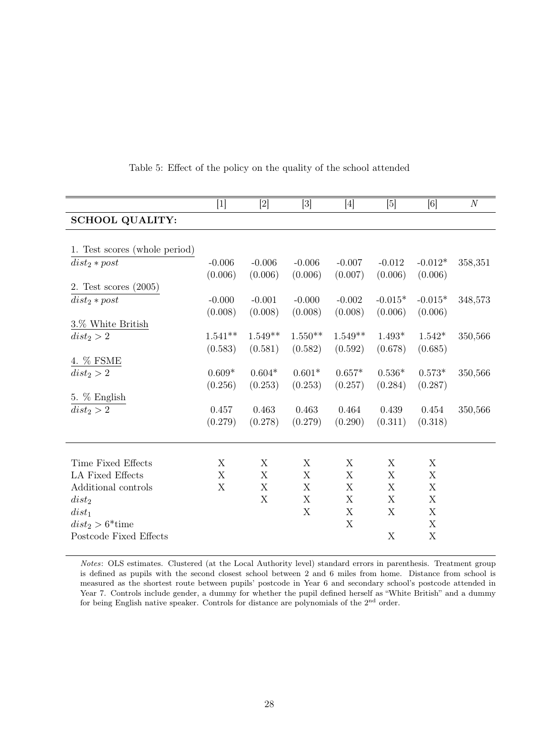|                                | $[1]$     | $[2]$     | $[3]$     | $[4]$       | $[5]$     | [6]       | $\cal N$ |
|--------------------------------|-----------|-----------|-----------|-------------|-----------|-----------|----------|
| <b>SCHOOL QUALITY:</b>         |           |           |           |             |           |           |          |
|                                |           |           |           |             |           |           |          |
| 1. Test scores (whole period)  |           |           |           |             |           |           |          |
| $dist_2 * post$                | $-0.006$  | $-0.006$  | $-0.006$  | $-0.007$    | $-0.012$  | $-0.012*$ | 358,351  |
|                                | (0.006)   | (0.006)   | (0.006)   | (0.007)     | (0.006)   | (0.006)   |          |
| 2. Test scores $(2005)$        |           |           |           |             |           |           |          |
| $dist_2 * post$                | $-0.000$  | $-0.001$  | $-0.000$  | $-0.002$    | $-0.015*$ | $-0.015*$ | 348,573  |
|                                | (0.008)   | (0.008)   | (0.008)   | (0.008)     | (0.006)   | (0.006)   |          |
| 3.% White British              |           |           |           |             |           |           |          |
| $dist_2 > 2$                   | $1.541**$ | $1.549**$ | $1.550**$ | $1.549**$   | $1.493*$  | $1.542*$  | 350,566  |
|                                | (0.583)   | (0.581)   | (0.582)   | (0.592)     | (0.678)   | (0.685)   |          |
| 4. % FSME                      |           |           |           |             |           |           |          |
| $dist_2 > 2$                   | $0.609*$  | $0.604*$  | $0.601*$  | $0.657*$    | $0.536*$  | $0.573*$  | 350,566  |
|                                | (0.256)   | (0.253)   | (0.253)   | (0.257)     | (0.284)   | (0.287)   |          |
| 5. % English                   |           |           |           |             |           |           |          |
| $dist_2 > 2$                   | 0.457     | 0.463     | 0.463     | 0.464       | 0.439     | 0.454     | 350,566  |
|                                | (0.279)   | (0.278)   | (0.279)   | (0.290)     | (0.311)   | (0.318)   |          |
|                                |           |           |           |             |           |           |          |
| Time Fixed Effects             | X         | X         | X         | X           | X         | X         |          |
| LA Fixed Effects               | X         | X         | X         | X           | X         | X         |          |
| Additional controls            | X         | X         | X         | X           | X         | X         |          |
| $dist_2$                       |           | X         | X         | X           | X         | X         |          |
| $dist_1$                       |           |           | X         | X           | X         | X         |          |
| $dist_2 > 6$ <sup>*</sup> time |           |           |           | $\mathbf X$ |           | X         |          |
| Postcode Fixed Effects         |           |           |           |             | X         | X         |          |
|                                |           |           |           |             |           |           |          |

Table 5: Effect of the policy on the quality of the school attended

Notes: OLS estimates. Clustered (at the Local Authority level) standard errors in parenthesis. Treatment group is defined as pupils with the second closest school between 2 and 6 miles from home. Distance from school is measured as the shortest route between pupils' postcode in Year 6 and secondary school's postcode attended in Year 7. Controls include gender, a dummy for whether the pupil defined herself as "White British" and a dummy for being English native speaker. Controls for distance are polynomials of the  $2<sup>nd</sup>$  order.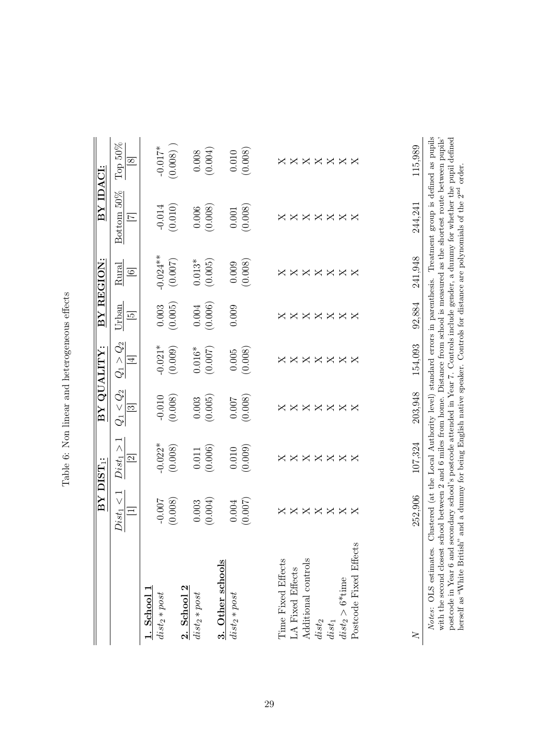| I<br>I<br>î    |
|----------------|
| ţ<br>)         |
|                |
| )<br> <br>     |
| - הממיני מומרי |
| i<br>i         |
|                |
| j<br>i         |

|                                                                                                                                                                                                                                                                                                                                                                                                                                                      |              | BY DIST <sub>1</sub> :  |                         | BY QUALITY:          |                | BY REGION:   | BY IDACI:                                                                                                         |               |
|------------------------------------------------------------------------------------------------------------------------------------------------------------------------------------------------------------------------------------------------------------------------------------------------------------------------------------------------------------------------------------------------------------------------------------------------------|--------------|-------------------------|-------------------------|----------------------|----------------|--------------|-------------------------------------------------------------------------------------------------------------------|---------------|
|                                                                                                                                                                                                                                                                                                                                                                                                                                                      | $Dist_1 < 1$ | $Dist_1 >$              | $Q_1 < Q_2$             | $Q_1 > Q_2$          | Urban          | Rural        | Bottom 50%                                                                                                        | Top $50\%$    |
|                                                                                                                                                                                                                                                                                                                                                                                                                                                      | $=$          | $\mathbf{z}$            | $\mathfrak{S}$          | $\overline{4}$       | $\overline{5}$ | $\odot$      | $\overline{z}$                                                                                                    | $\infty$      |
| $1.$ School $1$                                                                                                                                                                                                                                                                                                                                                                                                                                      |              |                         |                         |                      |                |              |                                                                                                                   |               |
| $dist_2 * post$                                                                                                                                                                                                                                                                                                                                                                                                                                      | $-0.007$     | $-0.022*$               | $-0.010$                |                      |                | $-0.024**$   | $-0.014$                                                                                                          | $-0.017*$     |
|                                                                                                                                                                                                                                                                                                                                                                                                                                                      | (0.008)      | (0.008)                 | (0.008)                 | $-0.021*$<br>(0.009) | (0.003)        | (0.007)      | (0.010)                                                                                                           | (0.008)       |
| 2. School 2                                                                                                                                                                                                                                                                                                                                                                                                                                          |              |                         |                         |                      |                |              |                                                                                                                   |               |
| $dist_2 * post$                                                                                                                                                                                                                                                                                                                                                                                                                                      | $0.003\,$    | $0.011\,$               | $0.003\,$               | $0.016*$             | $0.004\,$      | $0.013*$     | 0.006                                                                                                             | $0.008\,$     |
|                                                                                                                                                                                                                                                                                                                                                                                                                                                      | (0.004)      | (0.006)                 | (0.005)                 | (0.007)              | (0.006)        | (0.005)      | (0.008)                                                                                                           | (0.004)       |
| 3. Other schools                                                                                                                                                                                                                                                                                                                                                                                                                                     |              |                         |                         |                      |                |              |                                                                                                                   |               |
| $dist_2 * post$                                                                                                                                                                                                                                                                                                                                                                                                                                      | 0.004        | $0.010\,$               | 0.007                   | 0.005                | 0.009          | 0.009        | $0.001\,$                                                                                                         | 0.010         |
|                                                                                                                                                                                                                                                                                                                                                                                                                                                      | (0.007)      | (0.009)                 | (0.008)                 | (0.008)              |                | (0.008)      | (0.008)                                                                                                           | (0.008)       |
|                                                                                                                                                                                                                                                                                                                                                                                                                                                      |              |                         |                         |                      |                |              |                                                                                                                   |               |
| Time Fixed Effects                                                                                                                                                                                                                                                                                                                                                                                                                                   |              | $\overline{\mathsf{X}}$ | $\overline{\mathsf{X}}$ |                      |                |              | ×                                                                                                                 | ×             |
| LA Fixed Effects                                                                                                                                                                                                                                                                                                                                                                                                                                     |              |                         |                         |                      |                |              |                                                                                                                   |               |
| Additional controls                                                                                                                                                                                                                                                                                                                                                                                                                                  | <b>xxxxx</b> | <b>XXXXX</b>            | $\times \times \times$  | <b>xxxxx</b>         | <b>xxxxx</b>   | <b>XXXXX</b> | <b>XXXXXX</b>                                                                                                     | <b>XXXXXX</b> |
| $dist_2$                                                                                                                                                                                                                                                                                                                                                                                                                                             |              |                         |                         |                      |                |              |                                                                                                                   |               |
| $dist_1$                                                                                                                                                                                                                                                                                                                                                                                                                                             |              |                         | $\times \times$         |                      |                |              |                                                                                                                   |               |
| $dist_2 > 6^{*\!}\mathrm{time}$                                                                                                                                                                                                                                                                                                                                                                                                                      |              |                         |                         |                      |                |              |                                                                                                                   |               |
| Postcode Fixed Effects                                                                                                                                                                                                                                                                                                                                                                                                                               | $\times$     | $\times$                | $\mathsf{X}$            | $\times$             | $\times$       | $\times$     |                                                                                                                   |               |
|                                                                                                                                                                                                                                                                                                                                                                                                                                                      |              |                         |                         |                      |                |              |                                                                                                                   |               |
|                                                                                                                                                                                                                                                                                                                                                                                                                                                      | 252,906      | 107,324                 | 203,948                 | 154.093              | 92,884         | 241,948      | 244,241                                                                                                           | 115,989       |
| Notes: OLS estimates. Clustered (at the Local Authority level) standard errors in parenthesis. Treatment group is defined as pupils<br>with the second closest school between 2 and 6 miles from home. Distance from school is measured as the shortest route between pupils'<br>postcode in Year 6 and secondary school's postcode attended in Year 7. Controls include gender, a dummy for whether the pupil defined<br>herself as "White British" |              |                         |                         |                      |                |              | and a dummy for being English native speaker. Controls for distance are polynomials of the 2 <sup>nd</sup> order. |               |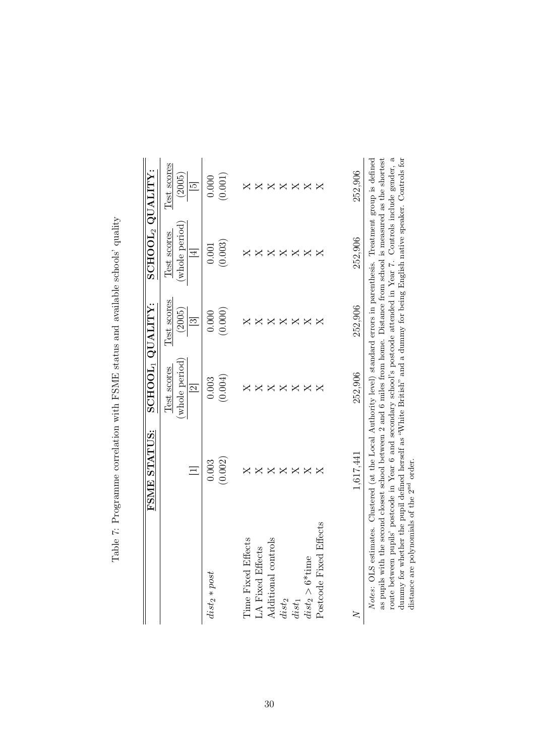|                                                                                                                                                                                                                                                                                                                                                                                                                                                                                                                                                                          | FSME STATUS:            | $\texttt{SCHOOL}_1 \texttt{QUALITY}$ : |                          | $\mathrm{SCH}\mathrm{OOL}_2\;\mathrm{QUALITY}\colon$ |                           |
|--------------------------------------------------------------------------------------------------------------------------------------------------------------------------------------------------------------------------------------------------------------------------------------------------------------------------------------------------------------------------------------------------------------------------------------------------------------------------------------------------------------------------------------------------------------------------|-------------------------|----------------------------------------|--------------------------|------------------------------------------------------|---------------------------|
|                                                                                                                                                                                                                                                                                                                                                                                                                                                                                                                                                                          |                         | (whole period<br>Test scores           | Test scores<br>(2005)    | (whole period<br>Test scores                         | Test scores<br>(2005)     |
|                                                                                                                                                                                                                                                                                                                                                                                                                                                                                                                                                                          | $\equiv$                | $\overline{\mathcal{C}}$               | $\overline{\mathcal{S}}$ | $\overline{4}$                                       | $\overline{5}$            |
| $dist_2 * post$                                                                                                                                                                                                                                                                                                                                                                                                                                                                                                                                                          | 0.003                   | 0.003                                  | 0.000                    | 0.001                                                | 0.000                     |
|                                                                                                                                                                                                                                                                                                                                                                                                                                                                                                                                                                          | (0.002)                 | (0.004)                                | (0.000)                  | (0.003)                                              | (0.001)                   |
| <b>Time Fixed Effects</b>                                                                                                                                                                                                                                                                                                                                                                                                                                                                                                                                                |                         |                                        |                          |                                                      |                           |
| LA Fixed Effects                                                                                                                                                                                                                                                                                                                                                                                                                                                                                                                                                         |                         | ◁                                      |                          | ×                                                    | $\boldsymbol{\mathsf{X}}$ |
| Additional controls                                                                                                                                                                                                                                                                                                                                                                                                                                                                                                                                                      | ≺                       |                                        |                          | $\triangleright$<br>≺                                | ×                         |
| $dist_2$                                                                                                                                                                                                                                                                                                                                                                                                                                                                                                                                                                 | $\Join$                 | ◁                                      |                          | ×                                                    | ×                         |
| $dist_1$                                                                                                                                                                                                                                                                                                                                                                                                                                                                                                                                                                 | ×                       | ×                                      | ×                        | $\boldsymbol{\mathsf{X}}$                            | $\mathsf{X}$              |
| $dist_2 > 6*t$ time                                                                                                                                                                                                                                                                                                                                                                                                                                                                                                                                                      | ×                       | ×                                      | ×                        | $\boldsymbol{\mathsf{X}}$                            | X                         |
| Effects<br>Postcode Fixec                                                                                                                                                                                                                                                                                                                                                                                                                                                                                                                                                | $\overline{\mathsf{X}}$ | $\mathsf{X}$                           | $\overline{\mathsf{X}}$  | X                                                    | $\mathsf{X}$              |
|                                                                                                                                                                                                                                                                                                                                                                                                                                                                                                                                                                          |                         |                                        |                          |                                                      |                           |
|                                                                                                                                                                                                                                                                                                                                                                                                                                                                                                                                                                          | 1,617,441               | 252,906                                | 252,906                  | 252,906                                              | 252,906                   |
| route between pupils' postcode in Year 6 and secondary school's postcode attended in Year 7. Controls include gender, a<br>as pupils with the second closest school between 2 and 6 miles from home. Distance from school is measured as the shortest<br>dummy for whether the pupil defined herself as "White British" and a dummy for being English native speaker. Controls for<br>Notes: OLS estimates. Clustered (at the Local Authority level) standard errors in parenthesis. Treatment group is defined<br>distance are polynomials of the 2 <sup>nd</sup> order |                         |                                        |                          |                                                      |                           |

Table 7: Programme correlation with FSME status and available schools' quality Table 7: Programme correlation with FSME status and available schools' quality